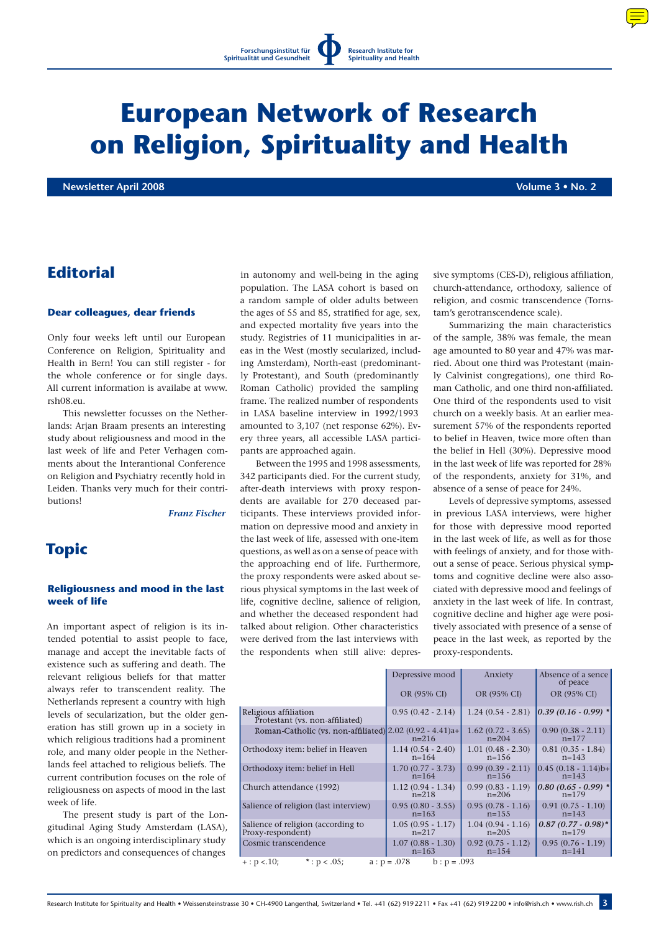# **European Network of Research on Religion, Spirituality and Health**

**Newsletter April 2008 Volume 3 • No. 2**

# **Editorial**

#### **Dear colleagues, dear friends**

Only four weeks left until our European Conference on Religion, Spirituality and Health in Bern! You can still register - for the whole conference or for single days. All current information is availabe at www. rsh08.eu.

This newsletter focusses on the Netherlands: Arjan Braam presents an interesting study about religiousness and mood in the last week of life and Peter Verhagen comments about the Interantional Conference on Religion and Psychiatry recently hold in Leiden. Thanks very much for their contributions!

*Franz Fischer*

## **Topic**

### **Religiousness and mood in the last week of life**

An important aspect of religion is its intended potential to assist people to face, manage and accept the inevitable facts of existence such as suffering and death. The relevant religious beliefs for that matter always refer to transcendent reality. The Netherlands represent a country with high levels of secularization, but the older generation has still grown up in a society in which religious traditions had a prominent role, and many older people in the Netherlands feel attached to religious beliefs. The current contribution focuses on the role of religiousness on aspects of mood in the last week of life.

The present study is part of the Longitudinal Aging Study Amsterdam (LASA), which is an ongoing interdisciplinary study on predictors and consequences of changes

in autonomy and well-being in the aging population. The LASA cohort is based on a random sample of older adults between the ages of 55 and 85, stratified for age, sex, and expected mortality five years into the study. Registries of 11 municipalities in areas in the West (mostly secularized, including Amsterdam), North-east (predominantly Protestant), and South (predominantly Roman Catholic) provided the sampling frame. The realized number of respondents in LASA baseline interview in 1992/1993 amounted to 3,107 (net response 62%). Every three years, all accessible LASA participants are approached again.

Between the 1995 and 1998 assessments, 342 participants died. For the current study, after-death interviews with proxy respondents are available for 270 deceased participants. These interviews provided information on depressive mood and anxiety in the last week of life, assessed with one-item questions, as well as on a sense of peace with the approaching end of life. Furthermore, the proxy respondents were asked about serious physical symptoms in the last week of life, cognitive decline, salience of religion, and whether the deceased respondent had talked about religion. Other characteristics were derived from the last interviews with the respondents when still alive: depressive symptoms (CES-D), religious affiliation, church-attendance, orthodoxy, salience of religion, and cosmic transcendence (Tornstam's gerotranscendence scale).

Summarizing the main characteristics of the sample, 38% was female, the mean age amounted to 80 year and 47% was married. About one third was Protestant (mainly Calvinist congregations), one third Roman Catholic, and one third non-affiliated. One third of the respondents used to visit church on a weekly basis. At an earlier measurement 57% of the respondents reported to belief in Heaven, twice more often than the belief in Hell (30%). Depressive mood in the last week of life was reported for 28% of the respondents, anxiety for 31%, and absence of a sense of peace for 24%.

Levels of depressive symptoms, assessed in previous LASA interviews, were higher for those with depressive mood reported in the last week of life, as well as for those with feelings of anxiety, and for those without a sense of peace. Serious physical symptoms and cognitive decline were also associated with depressive mood and feelings of anxiety in the last week of life. In contrast, cognitive decline and higher age were positively associated with presence of a sense of peace in the last week, as reported by the proxy-respondents.

|                                                                        | Depressive mood     | Anxiety                        | Absence of a sence<br>of peace |
|------------------------------------------------------------------------|---------------------|--------------------------------|--------------------------------|
|                                                                        | OR (95% CI)         | OR (95% CI)                    | OR (95% CI)                    |
| Religious affiliation<br>Protestant (vs. non-affiliated)               | $0.95(0.42 - 2.14)$ | $1.24(0.54 - 2.81)$            | $[0.39(0.16-0.99)$ *           |
| Roman-Catholic (vs. non-affiliated) $2.02$ (0.92 - 4.41)a+             | $n=216$             | $1.62(0.72 - 3.65)$<br>$n=204$ | $0.90(0.38 - 2.11)$<br>$n=177$ |
| Orthodoxy item: belief in Heaven                                       | $1.14(0.54 - 2.40)$ | $1.01(0.48 - 2.30)$            | $0.81(0.35 - 1.84)$            |
|                                                                        | $n = 164$           | $n = 156$                      | $n = 143$                      |
| Orthodoxy item: belief in Hell                                         | $1.70(0.77 - 3.73)$ | $0.99(0.39 - 2.11)$            | $0.45(0.18 - 1.14)b+$          |
|                                                                        | $n = 164$           | $n=156$                        | $n=143$                        |
| Church attendance (1992)                                               | $1.12(0.94 - 1.34)$ | $0.99(0.83 - 1.19)$            | $0.80(0.65 - 0.99)$ *          |
|                                                                        | $n=218$             | $n=206$                        | $n=179$                        |
| Salience of religion (last interview)                                  | $0.95(0.80 - 3.55)$ | $0.95(0.78 - 1.16)$            | $0.91(0.75 - 1.10)$            |
|                                                                        | $n=163$             | $n=155$                        | $n=143$                        |
| Salience of religion (according to                                     | $1.05(0.95 - 1.17)$ | $1.04(0.94 - 1.16)$            | $0.87(0.77-0.98)$ *            |
| Proxy-respondent)                                                      | $n=217$             | $n=205$                        | $n=179$                        |
| Cosmic transcendence                                                   | $1.07(0.88 - 1.30)$ | $0.92(0.75 - 1.12)$            | $0.95(0.76 - 1.19)$            |
|                                                                        | $n=163$             | $n = 154$                      | $n = 141$                      |
| $a : p = .078$<br>*: $p < .05$ ;<br>$+$ : $p < 10$ ;<br>$b : p = .093$ |                     |                                |                                |

Research Institute for Spirituality and Health • Weissensteinstrasse 30 • CH-4900 Langenthal, Switzerland • Tel. +41 (62) 9192211 • Fax +41 (62) 9192200 • info@rish.ch • www.rish.ch 3